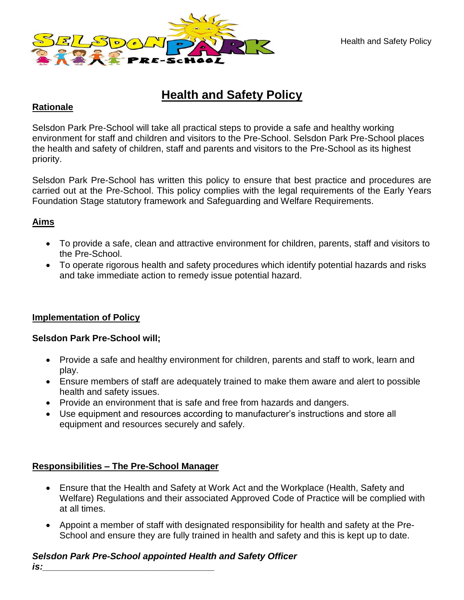

# **Health and Safety Policy**

#### **Rationale**

Selsdon Park Pre-School will take all practical steps to provide a safe and healthy working environment for staff and children and visitors to the Pre-School. Selsdon Park Pre-School places the health and safety of children, staff and parents and visitors to the Pre-School as its highest priority.

Selsdon Park Pre-School has written this policy to ensure that best practice and procedures are carried out at the Pre-School. This policy complies with the legal requirements of the Early Years Foundation Stage statutory framework and Safeguarding and Welfare Requirements.

## **Aims**

- To provide a safe, clean and attractive environment for children, parents, staff and visitors to the Pre-School.
- To operate rigorous health and safety procedures which identify potential hazards and risks and take immediate action to remedy issue potential hazard.

#### **Implementation of Policy**

#### **Selsdon Park Pre-School will;**

- Provide a safe and healthy environment for children, parents and staff to work, learn and play.
- Ensure members of staff are adequately trained to make them aware and alert to possible health and safety issues.
- Provide an environment that is safe and free from hazards and dangers.
- Use equipment and resources according to manufacturer's instructions and store all equipment and resources securely and safely.

## **Responsibilities – The Pre-School Manager**

- Ensure that the Health and Safety at Work Act and the Workplace (Health, Safety and Welfare) Regulations and their associated Approved Code of Practice will be complied with at all times.
- Appoint a member of staff with designated responsibility for health and safety at the Pre-School and ensure they are fully trained in health and safety and this is kept up to date.

## *Selsdon Park Pre-School appointed Health and Safety Officer*

*is:\_\_\_\_\_\_\_\_\_\_\_\_\_\_\_\_\_\_\_\_\_\_\_\_\_\_\_\_\_\_\_\_\_\_*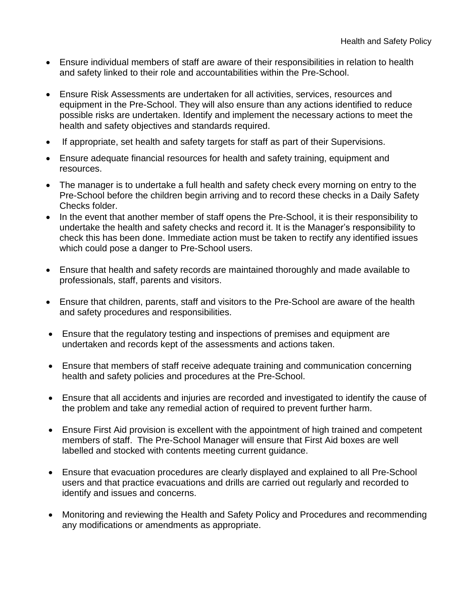- Ensure individual members of staff are aware of their responsibilities in relation to health and safety linked to their role and accountabilities within the Pre-School.
- Ensure Risk Assessments are undertaken for all activities, services, resources and equipment in the Pre-School. They will also ensure than any actions identified to reduce possible risks are undertaken. Identify and implement the necessary actions to meet the health and safety objectives and standards required.
- If appropriate, set health and safety targets for staff as part of their Supervisions.
- Ensure adequate financial resources for health and safety training, equipment and resources.
- The manager is to undertake a full health and safety check every morning on entry to the Pre-School before the children begin arriving and to record these checks in a Daily Safety Checks folder.
- In the event that another member of staff opens the Pre-School, it is their responsibility to undertake the health and safety checks and record it. It is the Manager's responsibility to check this has been done. Immediate action must be taken to rectify any identified issues which could pose a danger to Pre-School users.
- Ensure that health and safety records are maintained thoroughly and made available to professionals, staff, parents and visitors.
- Ensure that children, parents, staff and visitors to the Pre-School are aware of the health and safety procedures and responsibilities.
- Ensure that the regulatory testing and inspections of premises and equipment are undertaken and records kept of the assessments and actions taken.
- Ensure that members of staff receive adequate training and communication concerning health and safety policies and procedures at the Pre-School.
- Ensure that all accidents and injuries are recorded and investigated to identify the cause of the problem and take any remedial action of required to prevent further harm.
- Ensure First Aid provision is excellent with the appointment of high trained and competent members of staff. The Pre-School Manager will ensure that First Aid boxes are well labelled and stocked with contents meeting current guidance.
- Ensure that evacuation procedures are clearly displayed and explained to all Pre-School users and that practice evacuations and drills are carried out regularly and recorded to identify and issues and concerns.
- Monitoring and reviewing the Health and Safety Policy and Procedures and recommending any modifications or amendments as appropriate.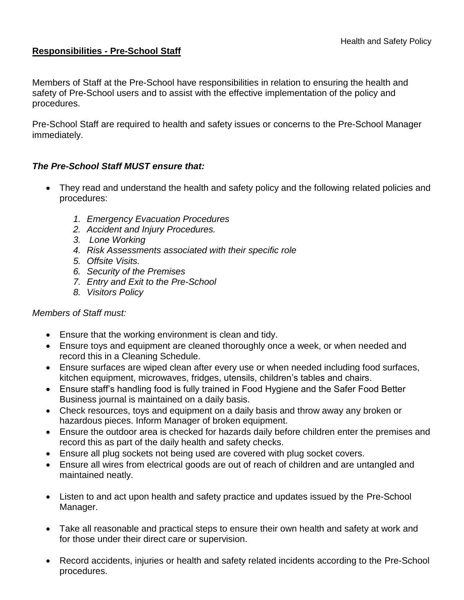#### **Responsibilities - Pre-School Staff**

Members of Staff at the Pre-School have responsibilities in relation to ensuring the health and safety of Pre-School users and to assist with the effective implementation of the policy and procedures.

Pre-School Staff are required to health and safety issues or concerns to the Pre-School Manager immediately.

## *The Pre-School Staff MUST ensure that:*

- They read and understand the health and safety policy and the following related policies and procedures:
	- *1. Emergency Evacuation Procedures*
	- *2. Accident and Injury Procedures.*
	- *3. Lone Working*
	- *4. Risk Assessments associated with their specific role*
	- *5. Offsite Visits.*
	- *6. Security of the Premises*
	- *7. Entry and Exit to the Pre-School*
	- *8. Visitors Policy*

#### *Members of Staff must:*

- Ensure that the working environment is clean and tidy.
- Ensure toys and equipment are cleaned thoroughly once a week, or when needed and record this in a Cleaning Schedule.
- Ensure surfaces are wiped clean after every use or when needed including food surfaces, kitchen equipment, microwaves, fridges, utensils, children's tables and chairs.
- Ensure staff's handling food is fully trained in Food Hygiene and the Safer Food Better Business journal is maintained on a daily basis.
- Check resources, toys and equipment on a daily basis and throw away any broken or hazardous pieces. Inform Manager of broken equipment.
- Ensure the outdoor area is checked for hazards daily before children enter the premises and record this as part of the daily health and safety checks.
- Ensure all plug sockets not being used are covered with plug socket covers.
- Ensure all wires from electrical goods are out of reach of children and are untangled and maintained neatly.
- Listen to and act upon health and safety practice and updates issued by the Pre-School Manager.
- Take all reasonable and practical steps to ensure their own health and safety at work and for those under their direct care or supervision.
- Record accidents, injuries or health and safety related incidents according to the Pre-School procedures.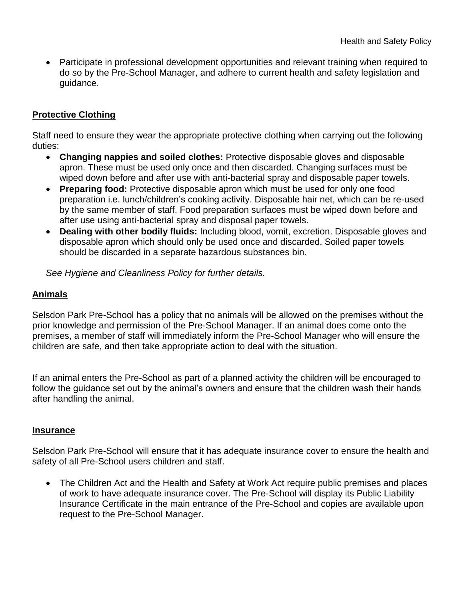Participate in professional development opportunities and relevant training when required to do so by the Pre-School Manager, and adhere to current health and safety legislation and guidance.

## **Protective Clothing**

Staff need to ensure they wear the appropriate protective clothing when carrying out the following duties:

- **Changing nappies and soiled clothes:** Protective disposable gloves and disposable apron. These must be used only once and then discarded. Changing surfaces must be wiped down before and after use with anti-bacterial spray and disposable paper towels.
- **Preparing food:** Protective disposable apron which must be used for only one food preparation i.e. lunch/children's cooking activity. Disposable hair net, which can be re-used by the same member of staff. Food preparation surfaces must be wiped down before and after use using anti-bacterial spray and disposal paper towels.
- **Dealing with other bodily fluids:** Including blood, vomit, excretion. Disposable gloves and disposable apron which should only be used once and discarded. Soiled paper towels should be discarded in a separate hazardous substances bin.

*See Hygiene and Cleanliness Policy for further details.*

#### **Animals**

Selsdon Park Pre-School has a policy that no animals will be allowed on the premises without the prior knowledge and permission of the Pre-School Manager. If an animal does come onto the premises, a member of staff will immediately inform the Pre-School Manager who will ensure the children are safe, and then take appropriate action to deal with the situation.

If an animal enters the Pre-School as part of a planned activity the children will be encouraged to follow the guidance set out by the animal's owners and ensure that the children wash their hands after handling the animal.

#### **Insurance**

Selsdon Park Pre-School will ensure that it has adequate insurance cover to ensure the health and safety of all Pre-School users children and staff.

• The Children Act and the Health and Safety at Work Act require public premises and places of work to have adequate insurance cover. The Pre-School will display its Public Liability Insurance Certificate in the main entrance of the Pre-School and copies are available upon request to the Pre-School Manager.